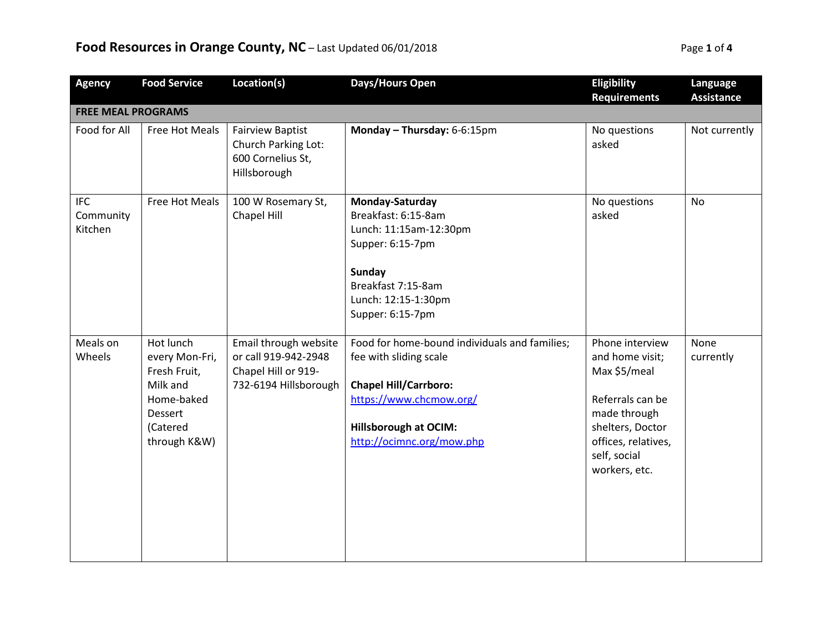## **Food Resources in Orange County, NC** – Last Updated 06/01/2018 **Page 1 of 4** Page 1 of 4

| <b>Agency</b>                      | <b>Food Service</b>                                                                                          | Location(s)                                                                                   | Days/Hours Open                                                                                                                                                                                 | Eligibility                                                                                                                                                        | Language          |  |  |  |
|------------------------------------|--------------------------------------------------------------------------------------------------------------|-----------------------------------------------------------------------------------------------|-------------------------------------------------------------------------------------------------------------------------------------------------------------------------------------------------|--------------------------------------------------------------------------------------------------------------------------------------------------------------------|-------------------|--|--|--|
|                                    | <b>Requirements</b><br><b>Assistance</b><br><b>FREE MEAL PROGRAMS</b>                                        |                                                                                               |                                                                                                                                                                                                 |                                                                                                                                                                    |                   |  |  |  |
| Food for All                       | Free Hot Meals                                                                                               | <b>Fairview Baptist</b><br>Church Parking Lot:<br>600 Cornelius St,<br>Hillsborough           | Monday - Thursday: 6-6:15pm                                                                                                                                                                     | No questions<br>asked                                                                                                                                              | Not currently     |  |  |  |
| <b>IFC</b><br>Community<br>Kitchen | Free Hot Meals                                                                                               | 100 W Rosemary St,<br>Chapel Hill                                                             | Monday-Saturday<br>Breakfast: 6:15-8am<br>Lunch: 11:15am-12:30pm<br>Supper: 6:15-7pm<br><b>Sunday</b><br>Breakfast 7:15-8am<br>Lunch: 12:15-1:30pm<br>Supper: 6:15-7pm                          | No questions<br>asked                                                                                                                                              | <b>No</b>         |  |  |  |
| Meals on<br>Wheels                 | Hot lunch<br>every Mon-Fri,<br>Fresh Fruit,<br>Milk and<br>Home-baked<br>Dessert<br>(Catered<br>through K&W) | Email through website<br>or call 919-942-2948<br>Chapel Hill or 919-<br>732-6194 Hillsborough | Food for home-bound individuals and families;<br>fee with sliding scale<br><b>Chapel Hill/Carrboro:</b><br>https://www.chcmow.org/<br><b>Hillsborough at OCIM:</b><br>http://ocimnc.org/mow.php | Phone interview<br>and home visit;<br>Max \$5/meal<br>Referrals can be<br>made through<br>shelters, Doctor<br>offices, relatives,<br>self, social<br>workers, etc. | None<br>currently |  |  |  |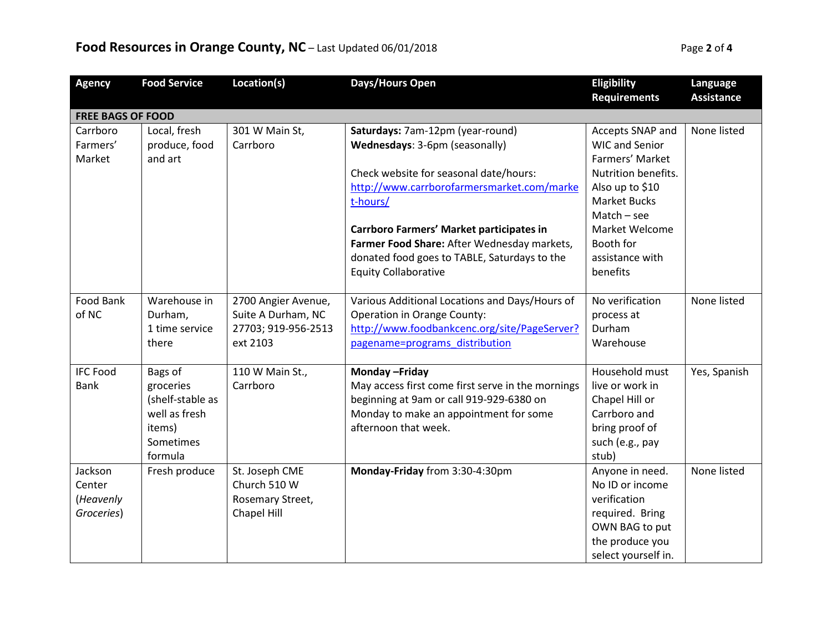## **Food Resources in Orange County, NC** – Last Updated 06/01/2018 **Page 2** of 4

| <b>Agency</b>            | <b>Food Service</b> | Location(s)         | Days/Hours Open                                   | Eligibility           | Language          |  |
|--------------------------|---------------------|---------------------|---------------------------------------------------|-----------------------|-------------------|--|
|                          |                     |                     |                                                   | <b>Requirements</b>   | <b>Assistance</b> |  |
| <b>FREE BAGS OF FOOD</b> |                     |                     |                                                   |                       |                   |  |
| Carrboro                 | Local, fresh        | 301 W Main St,      | Saturdays: 7am-12pm (year-round)                  | Accepts SNAP and      | None listed       |  |
| Farmers'                 | produce, food       | Carrboro            | Wednesdays: 3-6pm (seasonally)                    | <b>WIC and Senior</b> |                   |  |
| Market                   | and art             |                     |                                                   | Farmers' Market       |                   |  |
|                          |                     |                     | Check website for seasonal date/hours:            | Nutrition benefits.   |                   |  |
|                          |                     |                     | http://www.carrborofarmersmarket.com/marke        | Also up to \$10       |                   |  |
|                          |                     |                     | t-hours/                                          | <b>Market Bucks</b>   |                   |  |
|                          |                     |                     |                                                   | $Match - see$         |                   |  |
|                          |                     |                     | Carrboro Farmers' Market participates in          | Market Welcome        |                   |  |
|                          |                     |                     | Farmer Food Share: After Wednesday markets,       | Booth for             |                   |  |
|                          |                     |                     | donated food goes to TABLE, Saturdays to the      | assistance with       |                   |  |
|                          |                     |                     | <b>Equity Collaborative</b>                       | benefits              |                   |  |
|                          |                     |                     |                                                   |                       |                   |  |
| Food Bank                | Warehouse in        | 2700 Angier Avenue, | Various Additional Locations and Days/Hours of    | No verification       | None listed       |  |
| of NC                    | Durham,             | Suite A Durham, NC  | <b>Operation in Orange County:</b>                | process at            |                   |  |
|                          | 1 time service      | 27703; 919-956-2513 | http://www.foodbankcenc.org/site/PageServer?      | Durham                |                   |  |
|                          | there               | ext 2103            | pagename=programs distribution                    | Warehouse             |                   |  |
| <b>IFC Food</b>          | Bags of             | 110 W Main St.,     | Monday-Friday                                     | Household must        | Yes, Spanish      |  |
| <b>Bank</b>              | groceries           | Carrboro            | May access first come first serve in the mornings | live or work in       |                   |  |
|                          | (shelf-stable as    |                     | beginning at 9am or call 919-929-6380 on          | Chapel Hill or        |                   |  |
|                          | well as fresh       |                     | Monday to make an appointment for some            | Carrboro and          |                   |  |
|                          | items)              |                     | afternoon that week.                              | bring proof of        |                   |  |
|                          | Sometimes           |                     |                                                   | such (e.g., pay       |                   |  |
|                          | formula             |                     |                                                   | stub)                 |                   |  |
| Jackson                  | Fresh produce       | St. Joseph CME      | Monday-Friday from 3:30-4:30pm                    | Anyone in need.       | None listed       |  |
| Center                   |                     | Church 510 W        |                                                   | No ID or income       |                   |  |
| (Heavenly                |                     | Rosemary Street,    |                                                   | verification          |                   |  |
| Groceries)               |                     | Chapel Hill         |                                                   | required. Bring       |                   |  |
|                          |                     |                     |                                                   | OWN BAG to put        |                   |  |
|                          |                     |                     |                                                   | the produce you       |                   |  |
|                          |                     |                     |                                                   | select yourself in.   |                   |  |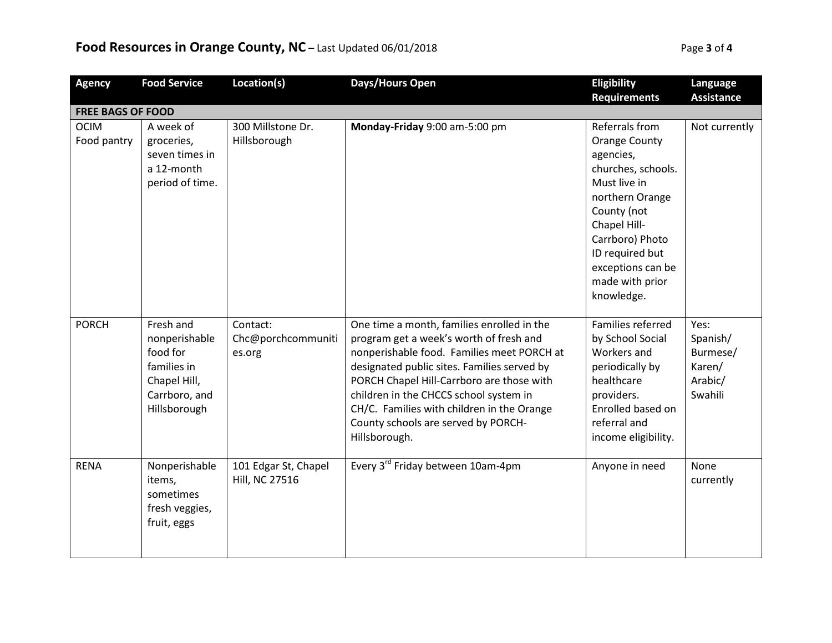## **Food Resources in Orange County, NC** – Last Updated 06/01/2018 **Page 1000 Page 1000 Page** Page

|  | Page 3 of 4 |  |
|--|-------------|--|
|  |             |  |

| <b>Agency</b>              | <b>Food Service</b>                                                                                    | Location(s)                                   | Days/Hours Open                                                                                                                                                                                                                                                                                                                                                                 | Eligibility                                                                                                                                                                                                                             | Language                                                     |  |  |
|----------------------------|--------------------------------------------------------------------------------------------------------|-----------------------------------------------|---------------------------------------------------------------------------------------------------------------------------------------------------------------------------------------------------------------------------------------------------------------------------------------------------------------------------------------------------------------------------------|-----------------------------------------------------------------------------------------------------------------------------------------------------------------------------------------------------------------------------------------|--------------------------------------------------------------|--|--|
|                            |                                                                                                        |                                               |                                                                                                                                                                                                                                                                                                                                                                                 | <b>Requirements</b>                                                                                                                                                                                                                     | <b>Assistance</b>                                            |  |  |
| <b>FREE BAGS OF FOOD</b>   |                                                                                                        |                                               |                                                                                                                                                                                                                                                                                                                                                                                 |                                                                                                                                                                                                                                         |                                                              |  |  |
| <b>OCIM</b><br>Food pantry | A week of<br>groceries,<br>seven times in<br>a 12-month<br>period of time.                             | 300 Millstone Dr.<br>Hillsborough             | Monday-Friday 9:00 am-5:00 pm                                                                                                                                                                                                                                                                                                                                                   | Referrals from<br><b>Orange County</b><br>agencies,<br>churches, schools.<br>Must live in<br>northern Orange<br>County (not<br>Chapel Hill-<br>Carrboro) Photo<br>ID required but<br>exceptions can be<br>made with prior<br>knowledge. | Not currently                                                |  |  |
| <b>PORCH</b>               | Fresh and<br>nonperishable<br>food for<br>families in<br>Chapel Hill,<br>Carrboro, and<br>Hillsborough | Contact:<br>Chc@porchcommuniti<br>es.org      | One time a month, families enrolled in the<br>program get a week's worth of fresh and<br>nonperishable food. Families meet PORCH at<br>designated public sites. Families served by<br>PORCH Chapel Hill-Carrboro are those with<br>children in the CHCCS school system in<br>CH/C. Families with children in the Orange<br>County schools are served by PORCH-<br>Hillsborough. | Families referred<br>by School Social<br>Workers and<br>periodically by<br>healthcare<br>providers.<br>Enrolled based on<br>referral and<br>income eligibility.                                                                         | Yes:<br>Spanish/<br>Burmese/<br>Karen/<br>Arabic/<br>Swahili |  |  |
| <b>RENA</b>                | Nonperishable<br>items,<br>sometimes<br>fresh veggies,<br>fruit, eggs                                  | 101 Edgar St, Chapel<br><b>Hill, NC 27516</b> | Every 3 <sup>rd</sup> Friday between 10am-4pm                                                                                                                                                                                                                                                                                                                                   | Anyone in need                                                                                                                                                                                                                          | None<br>currently                                            |  |  |